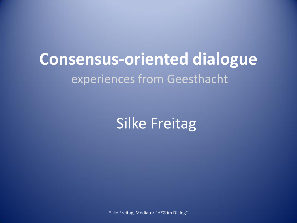## **Consensus-oriented dialogue**  experiences from Geesthacht

Silke Freitag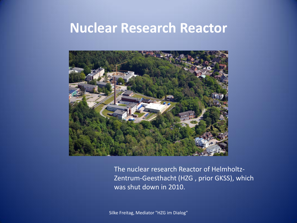#### **Nuclear Research Reactor**



The nuclear research Reactor of Helmholtz-Zentrum-Geesthacht (HZG, prior GKSS), which was shut down in 2010.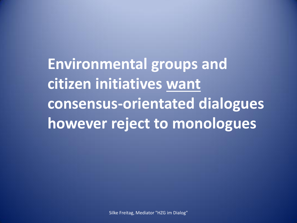**Environmental groups and citizen initiatives want consensus-orientated dialogues however reject to monologues**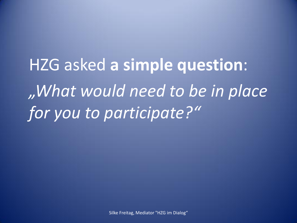HZG asked **a simple question**: *"What would need to be in place for you to participate?"*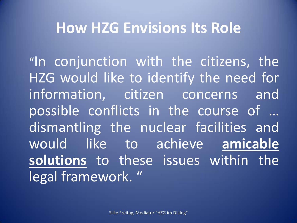#### **How HZG Envisions Its Role**

"In conjunction with the citizens, the HZG would like to identify the need for information, citizen concerns and possible conflicts in the course of … dismantling the nuclear facilities and would like to achieve **amicable solutions** to these issues within the legal framework."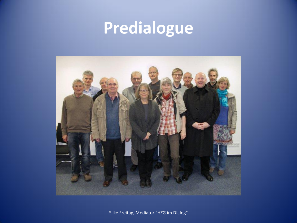# **Predialogue**

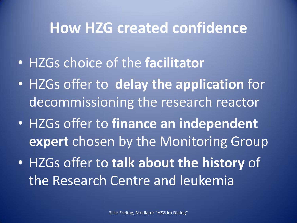#### **How HZG created confidence**

- HZGs choice of the **facilitator**
- HZGs offer to **delay the application** for decommissioning the research reactor
- HZGs offer to **finance an independent expert** chosen by the Monitoring Group
- HZGs offer to **talk about the history** of the Research Centre and leukemia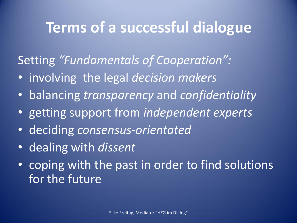### **Terms of a successful dialogue**

Setting *"Fundamentals of Cooperation":*

- involving the legal *decision makers*
- balancing *transparency* and *confidentiality*
- getting support from *independent experts*
- deciding *consensus-orientated*
- dealing with *dissent*
- coping with the past in order to find solutions for the future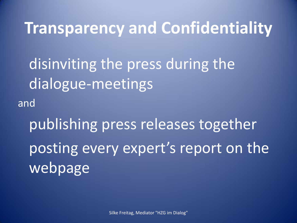### **Transparency and Confidentiality**

disinviting the press during the dialogue-meetings and

publishing press releases together posting every expert's report on the webpage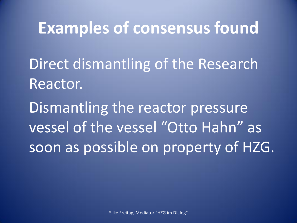## **Examples of consensus found**

Direct dismantling of the Research Reactor.

Dismantling the reactor pressure vessel of the vessel "Otto Hahn" as soon as possible on property of HZG.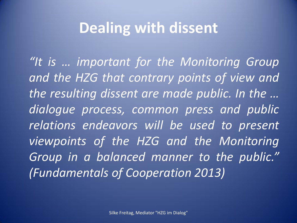### **Dealing with dissent**

*"It is … important for the Monitoring Group and the HZG that contrary points of view and the resulting dissent are made public. In the … dialogue process, common press and public relations endeavors will be used to present viewpoints of the HZG and the Monitoring Group in a balanced manner to the public." (Fundamentals of Cooperation 2013)*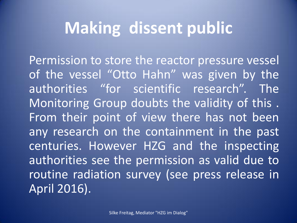## **Making dissent public**

Permission to store the reactor pressure vessel of the vessel "Otto Hahn" was given by the authorities "for scientific research". The Monitoring Group doubts the validity of this . From their point of view there has not been any research on the containment in the past centuries. However HZG and the inspecting authorities see the permission as valid due to routine radiation survey (see press release in April 2016).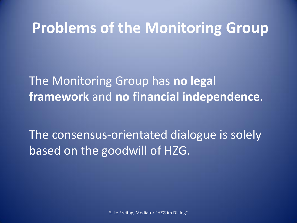#### **Problems of the Monitoring Group**

The Monitoring Group has **no legal framework** and **no financial independence**.

The consensus-orientated dialogue is solely based on the goodwill of HZG.